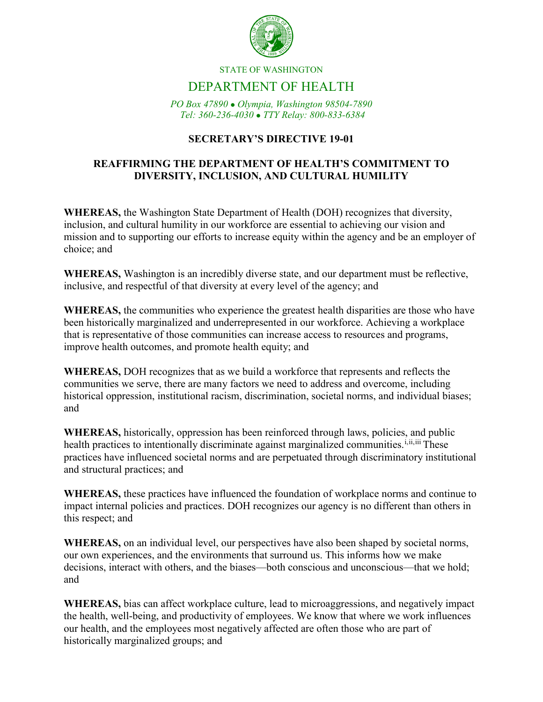

#### STATE OF WASHINGTON

# DEPARTMENT OF HEALTH

*PO Box 47890 Olympia, Washington 98504-7890 Tel: 360-236-4030 TTY Relay: 800-833-6384*

#### **SECRETARY'S DIRECTIVE 19-01**

#### **REAFFIRMING THE DEPARTMENT OF HEALTH'S COMMITMENT TO DIVERSITY, INCLUSION, AND CULTURAL HUMILITY**

**WHEREAS,** the Washington State Department of Health (DOH) recognizes that diversity, inclusion, and cultural humility in our workforce are essential to achieving our vision and mission and to supporting our efforts to increase equity within the agency and be an employer of choice; and

**WHEREAS,** Washington is an incredibly diverse state, and our department must be reflective, inclusive, and respectful of that diversity at every level of the agency; and

**WHEREAS,** the communities who experience the greatest health disparities are those who have been historically marginalized and underrepresented in our workforce. Achieving a workplace that is representative of those communities can increase access to resources and programs, improve health outcomes, and promote health equity; and

**WHEREAS,** DOH recognizes that as we build a workforce that represents and reflects the communities we serve, there are many factors we need to address and overcome, including historical oppression, institutional racism, discrimination, societal norms, and individual biases; and

**WHEREAS,** historically, oppression has been reinforced through laws, policies, and public health practices to intentionally discriminate against marginalized communities.<sup>[i,](#page-3-0)[ii,](#page-3-1)[iii](#page-3-2)</sup> These practices have influenced societal norms and are perpetuated through discriminatory institutional and structural practices; and

**WHEREAS,** these practices have influenced the foundation of workplace norms and continue to impact internal policies and practices. DOH recognizes our agency is no different than others in this respect; and

**WHEREAS,** on an individual level, our perspectives have also been shaped by societal norms, our own experiences, and the environments that surround us. This informs how we make decisions, interact with others, and the biases—both conscious and unconscious—that we hold; and

**WHEREAS,** bias can affect workplace culture, lead to microaggressions, and negatively impact the health, well-being, and productivity of employees. We know that where we work influences our health, and the employees most negatively affected are often those who are part of historically marginalized groups; and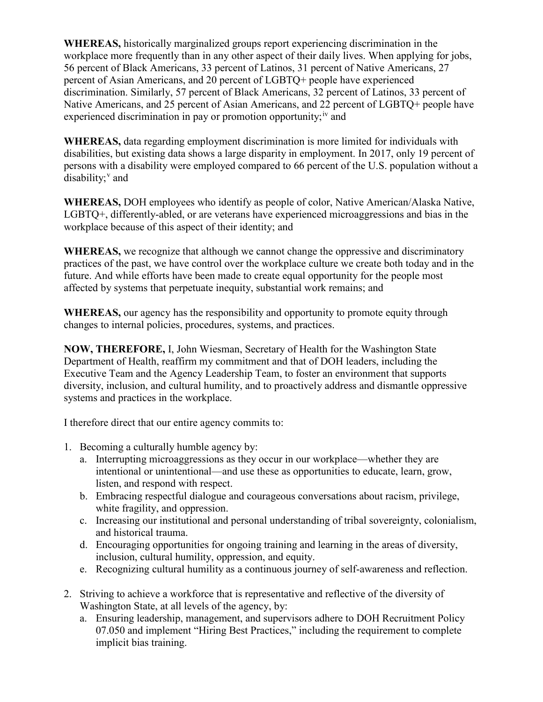**WHEREAS,** historically marginalized groups report experiencing discrimination in the workplace more frequently than in any other aspect of their daily lives. When applying for jobs, 56 percent of Black Americans, 33 percent of Latinos, 31 percent of Native Americans, 27 percent of Asian Americans, and 20 percent of LGBTQ+ people have experienced discrimination. Similarly, 57 percent of Black Americans, 32 percent of Latinos, 33 percent of Native Americans, and 25 percent of Asian Americans, and 22 percent of LGBTQ+ people have experienced discrimination in pay or promotion opportunity;  $\mu$  and

**WHEREAS,** data regarding employment discrimination is more limited for individuals with disabilities, but existing data shows a large disparity in employment. In 2017, only 19 percent of persons with a disability were employed compared to 66 percent of the U.S. population without a disability; $v$  and

**WHEREAS,** DOH employees who identify as people of color, Native American/Alaska Native, LGBTQ+, differently-abled, or are veterans have experienced microaggressions and bias in the workplace because of this aspect of their identity; and

**WHEREAS,** we recognize that although we cannot change the oppressive and discriminatory practices of the past, we have control over the workplace culture we create both today and in the future. And while efforts have been made to create equal opportunity for the people most affected by systems that perpetuate inequity, substantial work remains; and

**WHEREAS,** our agency has the responsibility and opportunity to promote equity through changes to internal policies, procedures, systems, and practices.

**NOW, THEREFORE,** I, John Wiesman, Secretary of Health for the Washington State Department of Health, reaffirm my commitment and that of DOH leaders, including the Executive Team and the Agency Leadership Team, to foster an environment that supports diversity, inclusion, and cultural humility, and to proactively address and dismantle oppressive systems and practices in the workplace.

I therefore direct that our entire agency commits to:

- 1. Becoming a culturally humble agency by:
	- a. Interrupting microaggressions as they occur in our workplace—whether they are intentional or unintentional—and use these as opportunities to educate, learn, grow, listen, and respond with respect.
	- b. Embracing respectful dialogue and courageous conversations about racism, privilege, white fragility, and oppression.
	- c. Increasing our institutional and personal understanding of tribal sovereignty, colonialism, and historical trauma.
	- d. Encouraging opportunities for ongoing training and learning in the areas of diversity, inclusion, cultural humility, oppression, and equity.
	- e. Recognizing cultural humility as a continuous journey of self-awareness and reflection.
- 2. Striving to achieve a workforce that is representative and reflective of the diversity of Washington State, at all levels of the agency, by:
	- a. Ensuring leadership, management, and supervisors adhere to DOH Recruitment Policy 07.050 and implement "Hiring Best Practices," including the requirement to complete implicit bias training.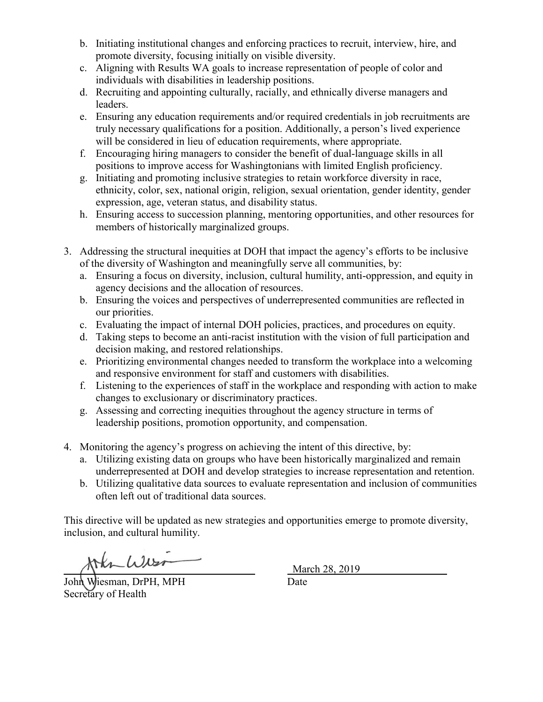- b. Initiating institutional changes and enforcing practices to recruit, interview, hire, and promote diversity, focusing initially on visible diversity.
- c. Aligning with Results WA goals to increase representation of people of color and individuals with disabilities in leadership positions.
- d. Recruiting and appointing culturally, racially, and ethnically diverse managers and leaders.
- e. Ensuring any education requirements and/or required credentials in job recruitments are truly necessary qualifications for a position. Additionally, a person's lived experience will be considered in lieu of education requirements, where appropriate.
- f. Encouraging hiring managers to consider the benefit of dual-language skills in all positions to improve access for Washingtonians with limited English proficiency.
- g. Initiating and promoting inclusive strategies to retain workforce diversity in race, ethnicity, color, sex, national origin, religion, sexual orientation, gender identity, gender expression, age, veteran status, and disability status.
- h. Ensuring access to succession planning, mentoring opportunities, and other resources for members of historically marginalized groups.
- 3. Addressing the structural inequities at DOH that impact the agency's efforts to be inclusive of the diversity of Washington and meaningfully serve all communities, by:
	- a. Ensuring a focus on diversity, inclusion, cultural humility, anti-oppression, and equity in agency decisions and the allocation of resources.
	- b. Ensuring the voices and perspectives of underrepresented communities are reflected in our priorities.
	- c. Evaluating the impact of internal DOH policies, practices, and procedures on equity.
	- d. Taking steps to become an anti-racist institution with the vision of full participation and decision making, and restored relationships.
	- e. Prioritizing environmental changes needed to transform the workplace into a welcoming and responsive environment for staff and customers with disabilities.
	- f. Listening to the experiences of staff in the workplace and responding with action to make changes to exclusionary or discriminatory practices.
	- g. Assessing and correcting inequities throughout the agency structure in terms of leadership positions, promotion opportunity, and compensation.
- 4. Monitoring the agency's progress on achieving the intent of this directive, by:
	- a. Utilizing existing data on groups who have been historically marginalized and remain underrepresented at DOH and develop strategies to increase representation and retention.
	- b. Utilizing qualitative data sources to evaluate representation and inclusion of communities often left out of traditional data sources.

This directive will be updated as new strategies and opportunities emerge to promote diversity, inclusion, and cultural humility.

John Wiesman, DrPH, MPH Date

Secretary of Health

March 28, 2019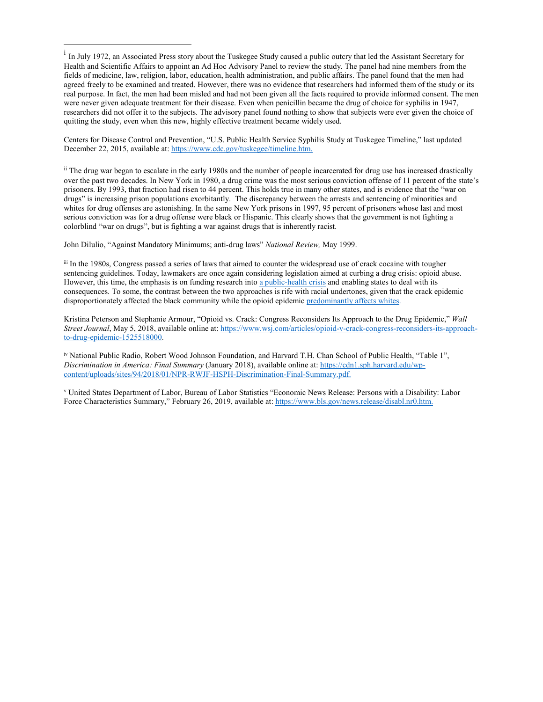Centers for Disease Control and Prevention, "U.S. Public Health Service Syphilis Study at Tuskegee Timeline," last updated December 22, 2015, available at[: https://www.cdc.gov/tuskegee/timeline.htm.](https://www.cdc.gov/tuskegee/timeline.htm)

<span id="page-3-1"></span><sup>ii</sup> The drug war began to escalate in the early 1980s and the number of people incarcerated for drug use has increased drastically over the past two decades. In New York in 1980, a drug crime was the most serious conviction offense of 11 percent of the state's prisoners. By 1993, that fraction had risen to 44 percent. This holds true in many other states, and is evidence that the "war on drugs" is increasing prison populations exorbitantly. The discrepancy between the arrests and sentencing of minorities and whites for drug offenses are astonishing. In the same New York prisons in 1997, 95 percent of prisoners whose last and most serious conviction was for a drug offense were black or Hispanic. This clearly shows that the government is not fighting a colorblind "war on drugs", but is fighting a war against drugs that is inherently racist.

John Dilulio, "Against Mandatory Minimums; anti-drug laws" *National Review,* May 1999.

 $\overline{a}$ 

<span id="page-3-2"></span>iii In the 1980s, Congress passed a series of laws that aimed to counter the widespread use of crack cocaine with tougher sentencing guidelines. Today, lawmakers are once again considering legislation aimed at curbing a drug crisis: opioid abuse. However, this time, the emphasis is on funding research int[o a public-health crisis](https://www.wsj.com/articles/trump-declares-opioid-epidemic-a-national-emergency-1502393301?mod=searchresults&page=2&pos=43&mod=article_inline) and enabling states to deal with its consequences. To some, the contrast between the two approaches is rife with racial undertones, given that the crack epidemic disproportionately affected the black community while the opioid epidemi[c predominantly affects whites.](https://www.wsj.com/articles/hooked-one-familys-ordeal-with-fentanyl-1463158112?mod=article_inline)

Kristina Peterson and Stephanie Armour, "Opioid vs. Crack: Congress Reconsiders Its Approach to the Drug Epidemic," *Wall Street Journal*, May 5, 2018, available online at[: https://www.wsj.com/articles/opioid-v-crack-congress-reconsiders-its-approach](https://www.wsj.com/articles/opioid-v-crack-congress-reconsiders-its-approach-to-drug-epidemic-1525518000)[to-drug-epidemic-1525518000.](https://www.wsj.com/articles/opioid-v-crack-congress-reconsiders-its-approach-to-drug-epidemic-1525518000)

<span id="page-3-3"></span>iv National Public Radio, Robert Wood Johnson Foundation, and Harvard T.H. Chan School of Public Health, "Table 1", *Discrimination in America: Final Summary* (January 2018), available online at[: https://cdn1.sph.harvard.edu/wp](https://cdn1.sph.harvard.edu/wp-content/uploads/sites/94/2018/01/NPR-RWJF-HSPH-Discrimination-Final-Summary.pdf)[content/uploads/sites/94/2018/01/NPR-RWJF-HSPH-Discrimination-Final-Summary.pdf.](https://cdn1.sph.harvard.edu/wp-content/uploads/sites/94/2018/01/NPR-RWJF-HSPH-Discrimination-Final-Summary.pdf)

<span id="page-3-4"></span><sup>v</sup> United States Department of Labor, Bureau of Labor Statistics "Economic News Release: Persons with a Disability: Labor Force Characteristics Summary," February 26, 2019, available at[: https://www.bls.gov/news.release/disabl.nr0.htm.](https://www.bls.gov/news.release/disabl.nr0.htm)

<span id="page-3-0"></span> $<sup>1</sup>$  In July 1972, an Associated Press story about the Tuskegee Study caused a public outcry that led the Assistant Secretary for</sup> Health and Scientific Affairs to appoint an Ad Hoc Advisory Panel to review the study. The panel had nine members from the fields of medicine, law, religion, labor, education, health administration, and public affairs. The panel found that the men had agreed freely to be examined and treated. However, there was no evidence that researchers had informed them of the study or its real purpose. In fact, the men had been misled and had not been given all the facts required to provide informed consent. The men were never given adequate treatment for their disease. Even when penicillin became the drug of choice for syphilis in 1947, researchers did not offer it to the subjects. The advisory panel found nothing to show that subjects were ever given the choice of quitting the study, even when this new, highly effective treatment became widely used.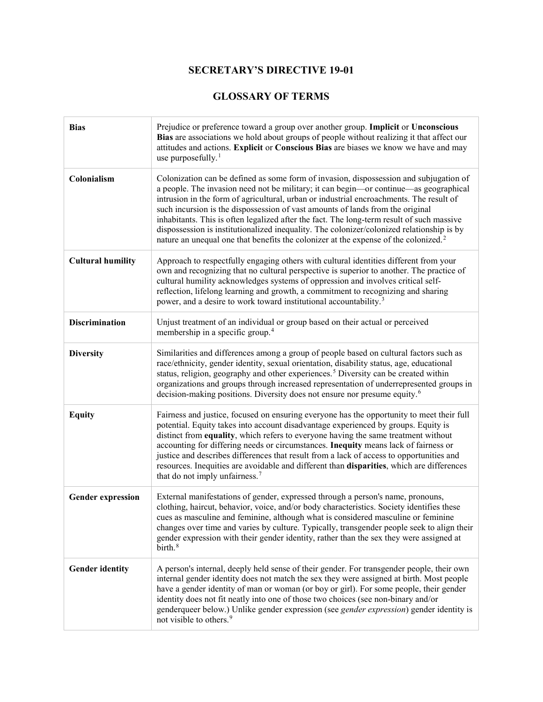## **SECRETARY'S DIRECTIVE 19-01**

### **GLOSSARY OF TERMS**

| <b>Bias</b>              | Prejudice or preference toward a group over another group. Implicit or Unconscious<br>Bias are associations we hold about groups of people without realizing it that affect our<br>attitudes and actions. Explicit or Conscious Bias are biases we know we have and may<br>use purposefully. $1$                                                                                                                                                                                                                                                                                                                                                          |
|--------------------------|-----------------------------------------------------------------------------------------------------------------------------------------------------------------------------------------------------------------------------------------------------------------------------------------------------------------------------------------------------------------------------------------------------------------------------------------------------------------------------------------------------------------------------------------------------------------------------------------------------------------------------------------------------------|
| Colonialism              | Colonization can be defined as some form of invasion, dispossession and subjugation of<br>a people. The invasion need not be military; it can begin-or continue-as geographical<br>intrusion in the form of agricultural, urban or industrial encroachments. The result of<br>such incursion is the dispossession of vast amounts of lands from the original<br>inhabitants. This is often legalized after the fact. The long-term result of such massive<br>dispossession is institutionalized inequality. The colonizer/colonized relationship is by<br>nature an unequal one that benefits the colonizer at the expense of the colonized. <sup>2</sup> |
| <b>Cultural humility</b> | Approach to respectfully engaging others with cultural identities different from your<br>own and recognizing that no cultural perspective is superior to another. The practice of<br>cultural humility acknowledges systems of oppression and involves critical self-<br>reflection, lifelong learning and growth, a commitment to recognizing and sharing<br>power, and a desire to work toward institutional accountability. <sup>3</sup>                                                                                                                                                                                                               |
| <b>Discrimination</b>    | Unjust treatment of an individual or group based on their actual or perceived<br>membership in a specific group. <sup>4</sup>                                                                                                                                                                                                                                                                                                                                                                                                                                                                                                                             |
| <b>Diversity</b>         | Similarities and differences among a group of people based on cultural factors such as<br>race/ethnicity, gender identity, sexual orientation, disability status, age, educational<br>status, religion, geography and other experiences. <sup>5</sup> Diversity can be created within<br>organizations and groups through increased representation of underrepresented groups in<br>decision-making positions. Diversity does not ensure nor presume equity. <sup>6</sup>                                                                                                                                                                                 |
| <b>Equity</b>            | Fairness and justice, focused on ensuring everyone has the opportunity to meet their full<br>potential. Equity takes into account disadvantage experienced by groups. Equity is<br>distinct from equality, which refers to everyone having the same treatment without<br>accounting for differing needs or circumstances. Inequity means lack of fairness or<br>justice and describes differences that result from a lack of access to opportunities and<br>resources. Inequities are avoidable and different than disparities, which are differences<br>that do not imply unfairness. <sup>7</sup>                                                       |
| <b>Gender expression</b> | External manifestations of gender, expressed through a person's name, pronouns,<br>clothing, haircut, behavior, voice, and/or body characteristics. Society identifies these<br>cues as masculine and feminine, although what is considered masculine or feminine<br>changes over time and varies by culture. Typically, transgender people seek to align their<br>gender expression with their gender identity, rather than the sex they were assigned at<br>birth. <sup>8</sup>                                                                                                                                                                         |
| <b>Gender identity</b>   | A person's internal, deeply held sense of their gender. For transgender people, their own<br>internal gender identity does not match the sex they were assigned at birth. Most people<br>have a gender identity of man or woman (or boy or girl). For some people, their gender<br>identity does not fit neatly into one of those two choices (see non-binary and/or<br>genderqueer below.) Unlike gender expression (see gender expression) gender identity is<br>not visible to others. <sup>9</sup>                                                                                                                                                    |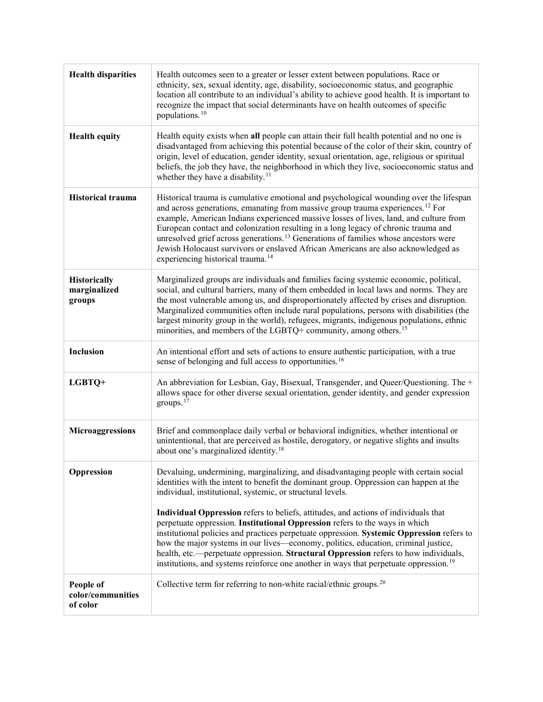| <b>Health disparities</b>                  | Health outcomes seen to a greater or lesser extent between populations. Race or<br>ethnicity, sex, sexual identity, age, disability, socioeconomic status, and geographic<br>location all contribute to an individual's ability to achieve good health. It is important to<br>recognize the impact that social determinants have on health outcomes of specific<br>populations. <sup>10</sup>                                                                                                                                                                                                                                                                                                                                                                                                        |
|--------------------------------------------|------------------------------------------------------------------------------------------------------------------------------------------------------------------------------------------------------------------------------------------------------------------------------------------------------------------------------------------------------------------------------------------------------------------------------------------------------------------------------------------------------------------------------------------------------------------------------------------------------------------------------------------------------------------------------------------------------------------------------------------------------------------------------------------------------|
| <b>Health equity</b>                       | Health equity exists when all people can attain their full health potential and no one is<br>disadvantaged from achieving this potential because of the color of their skin, country of<br>origin, level of education, gender identity, sexual orientation, age, religious or spiritual<br>beliefs, the job they have, the neighborhood in which they live, socioeconomic status and<br>whether they have a disability. <sup>11</sup>                                                                                                                                                                                                                                                                                                                                                                |
| <b>Historical trauma</b>                   | Historical trauma is cumulative emotional and psychological wounding over the lifespan<br>and across generations, emanating from massive group trauma experiences. <sup>12</sup> For<br>example, American Indians experienced massive losses of lives, land, and culture from<br>European contact and colonization resulting in a long legacy of chronic trauma and<br>unresolved grief across generations. <sup>13</sup> Generations of families whose ancestors were<br>Jewish Holocaust survivors or enslaved African Americans are also acknowledged as<br>experiencing historical trauma. <sup>14</sup>                                                                                                                                                                                         |
| Historically<br>marginalized<br>groups     | Marginalized groups are individuals and families facing systemic economic, political,<br>social, and cultural barriers, many of them embedded in local laws and norms. They are<br>the most vulnerable among us, and disproportionately affected by crises and disruption.<br>Marginalized communities often include rural populations, persons with disabilities (the<br>largest minority group in the world), refugees, migrants, indigenous populations, ethnic<br>minorities, and members of the LGBTQ+ community, among others. <sup>15</sup>                                                                                                                                                                                                                                                   |
| Inclusion                                  | An intentional effort and sets of actions to ensure authentic participation, with a true<br>sense of belonging and full access to opportunities. <sup>16</sup>                                                                                                                                                                                                                                                                                                                                                                                                                                                                                                                                                                                                                                       |
| LGBTQ+                                     | An abbreviation for Lesbian, Gay, Bisexual, Transgender, and Queer/Questioning. The +<br>allows space for other diverse sexual orientation, gender identity, and gender expression<br>groups. $17$                                                                                                                                                                                                                                                                                                                                                                                                                                                                                                                                                                                                   |
| Microaggressions                           | Brief and commonplace daily verbal or behavioral indignities, whether intentional or<br>unintentional, that are perceived as hostile, derogatory, or negative slights and insults<br>about one's marginalized identity. <sup>18</sup>                                                                                                                                                                                                                                                                                                                                                                                                                                                                                                                                                                |
| Oppression                                 | Devaluing, undermining, marginalizing, and disadvantaging people with certain social<br>identities with the intent to benefit the dominant group. Oppression can happen at the<br>individual, institutional, systemic, or structural levels.<br>Individual Oppression refers to beliefs, attitudes, and actions of individuals that<br>perpetuate oppression. Institutional Oppression refers to the ways in which<br>institutional policies and practices perpetuate oppression. Systemic Oppression refers to<br>how the major systems in our lives—economy, politics, education, criminal justice,<br>health, etc.-- perpetuate oppression. Structural Oppression refers to how individuals,<br>institutions, and systems reinforce one another in ways that perpetuate oppression. <sup>19</sup> |
| People of<br>color/communities<br>of color | Collective term for referring to non-white racial/ethnic groups. $20$                                                                                                                                                                                                                                                                                                                                                                                                                                                                                                                                                                                                                                                                                                                                |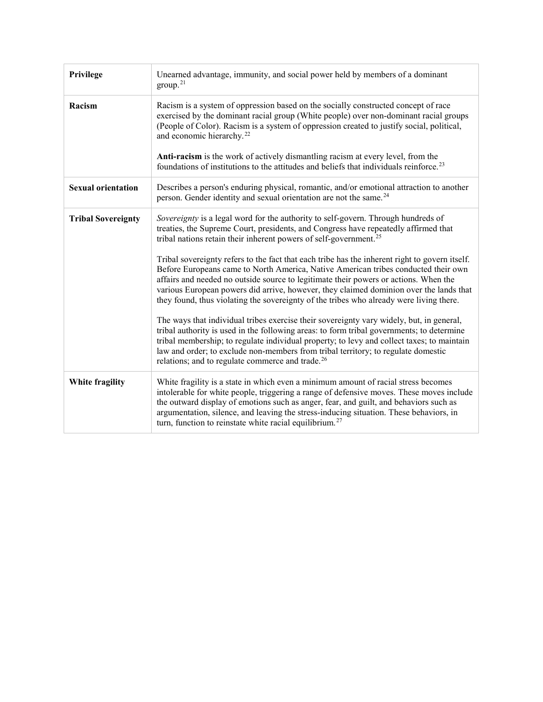| Privilege                 | Unearned advantage, immunity, and social power held by members of a dominant<br>group. <sup>21</sup>                                                                                                                                                                                                                                                                                                                                                              |
|---------------------------|-------------------------------------------------------------------------------------------------------------------------------------------------------------------------------------------------------------------------------------------------------------------------------------------------------------------------------------------------------------------------------------------------------------------------------------------------------------------|
| Racism                    | Racism is a system of oppression based on the socially constructed concept of race<br>exercised by the dominant racial group (White people) over non-dominant racial groups<br>(People of Color). Racism is a system of oppression created to justify social, political,<br>and economic hierarchy. <sup>22</sup>                                                                                                                                                 |
|                           | Anti-racism is the work of actively dismantling racism at every level, from the<br>foundations of institutions to the attitudes and beliefs that individuals reinforce. <sup>23</sup>                                                                                                                                                                                                                                                                             |
| <b>Sexual orientation</b> | Describes a person's enduring physical, romantic, and/or emotional attraction to another<br>person. Gender identity and sexual orientation are not the same. <sup>24</sup>                                                                                                                                                                                                                                                                                        |
| <b>Tribal Sovereignty</b> | Sovereignty is a legal word for the authority to self-govern. Through hundreds of<br>treaties, the Supreme Court, presidents, and Congress have repeatedly affirmed that<br>tribal nations retain their inherent powers of self-government. <sup>25</sup>                                                                                                                                                                                                         |
|                           | Tribal sovereignty refers to the fact that each tribe has the inherent right to govern itself.<br>Before Europeans came to North America, Native American tribes conducted their own<br>affairs and needed no outside source to legitimate their powers or actions. When the<br>various European powers did arrive, however, they claimed dominion over the lands that<br>they found, thus violating the sovereignty of the tribes who already were living there. |
|                           | The ways that individual tribes exercise their sovereignty vary widely, but, in general,<br>tribal authority is used in the following areas: to form tribal governments; to determine<br>tribal membership; to regulate individual property; to levy and collect taxes; to maintain<br>law and order; to exclude non-members from tribal territory; to regulate domestic<br>relations; and to regulate commerce and trade. <sup>26</sup>                          |
| White fragility           | White fragility is a state in which even a minimum amount of racial stress becomes<br>intolerable for white people, triggering a range of defensive moves. These moves include<br>the outward display of emotions such as anger, fear, and guilt, and behaviors such as<br>argumentation, silence, and leaving the stress-inducing situation. These behaviors, in<br>turn, function to reinstate white racial equilibrium. <sup>27</sup>                          |